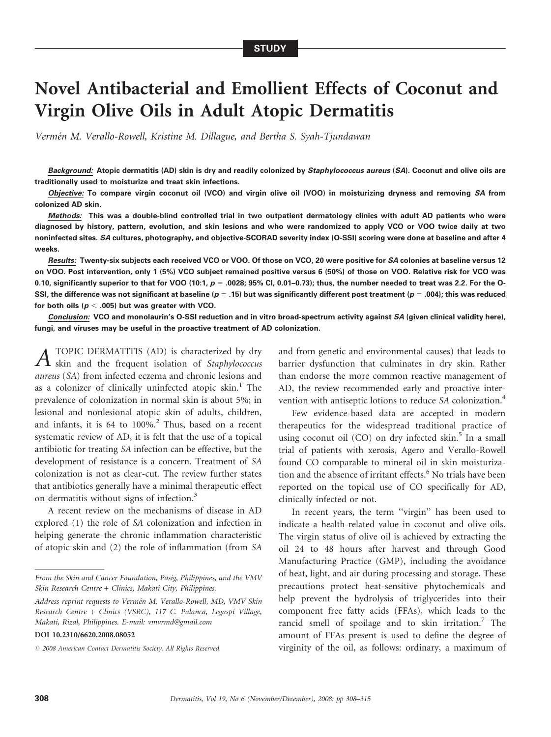# Novel Antibacterial and Emollient Effects of Coconut and Virgin Olive Oils in Adult Atopic Dermatitis

Vermén M. Verallo-Rowell, Kristine M. Dillague, and Bertha S. Syah-Tjundawan

Background: Atopic dermatitis (AD) skin is dry and readily colonized by Staphylococcus aureus (SA). Coconut and olive oils are traditionally used to moisturize and treat skin infections.

Objective: To compare virgin coconut oil (VCO) and virgin olive oil (VOO) in moisturizing dryness and removing SA from colonized AD skin.

Methods: This was a double-blind controlled trial in two outpatient dermatology clinics with adult AD patients who were diagnosed by history, pattern, evolution, and skin lesions and who were randomized to apply VCO or VOO twice daily at two noninfected sites. SA cultures, photography, and objective-SCORAD severity index (O-SSI) scoring were done at baseline and after 4 weeks.

Results: Twenty-six subjects each received VCO or VOO. Of those on VCO, 20 were positive for SA colonies at baseline versus 12 on VOO. Post intervention, only 1 (5%) VCO subject remained positive versus 6 (50%) of those on VOO. Relative risk for VCO was 0.10, significantly superior to that for VOO (10:1,  $p = .0028$ ; 95% Cl, 0.01–0.73); thus, the number needed to treat was 2.2. For the O-SSI, the difference was not significant at baseline ( $p = .15$ ) but was significantly different post treatment ( $p = .004$ ); this was reduced for both oils ( $p < .005$ ) but was greater with VCO.

Conclusion: VCO and monolaurin's O-SSI reduction and in vitro broad-spectrum activity against SA (given clinical validity here), fungi, and viruses may be useful in the proactive treatment of AD colonization.

*A* TOPIC DERMATITIS (AD) is characterized by dry<br>skin and the frequent isolation of Staphylococcus aureus (SA) from infected eczema and chronic lesions and as a colonizer of clinically uninfected atopic  $\sin^{-1}$ . The prevalence of colonization in normal skin is about 5%; in lesional and nonlesional atopic skin of adults, children, and infants, it is 64 to 100%.<sup>2</sup> Thus, based on a recent systematic review of AD, it is felt that the use of a topical antibiotic for treating SA infection can be effective, but the development of resistance is a concern. Treatment of SA colonization is not as clear-cut. The review further states that antibiotics generally have a minimal therapeutic effect on dermatitis without signs of infection.<sup>3</sup>

A recent review on the mechanisms of disease in AD explored (1) the role of SA colonization and infection in helping generate the chronic inflammation characteristic of atopic skin and (2) the role of inflammation (from SA

and from genetic and environmental causes) that leads to barrier dysfunction that culminates in dry skin. Rather than endorse the more common reactive management of AD, the review recommended early and proactive intervention with antiseptic lotions to reduce SA colonization.<sup>4</sup>

Few evidence-based data are accepted in modern therapeutics for the widespread traditional practice of using coconut oil  $(CO)$  on dry infected skin.<sup>5</sup> In a small trial of patients with xerosis, Agero and Verallo-Rowell found CO comparable to mineral oil in skin moisturization and the absence of irritant effects.<sup>6</sup> No trials have been reported on the topical use of CO specifically for AD, clinically infected or not.

In recent years, the term "virgin" has been used to indicate a health-related value in coconut and olive oils. The virgin status of olive oil is achieved by extracting the oil 24 to 48 hours after harvest and through Good Manufacturing Practice (GMP), including the avoidance of heat, light, and air during processing and storage. These precautions protect heat-sensitive phytochemicals and help prevent the hydrolysis of triglycerides into their component free fatty acids (FFAs), which leads to the rancid smell of spoilage and to skin irritation.<sup>7</sup> The amount of FFAs present is used to define the degree of virginity of the oil, as follows: ordinary, a maximum of

From the Skin and Cancer Foundation, Pasig, Philippines, and the VMV Skin Research Centre + Clinics, Makati City, Philippines.

Address reprint requests to Vermén M. Verallo-Rowell, MD, VMV Skin Research Centre + Clinics (VSRC), 117 C. Palanca, Legaspi Village, Makati, Rizal, Philippines. E-mail: vmvrmd@gmail.com

DOI 10.2310/6620.2008.08052

 $O$  2008 American Contact Dermatitis Society. All Rights Reserved.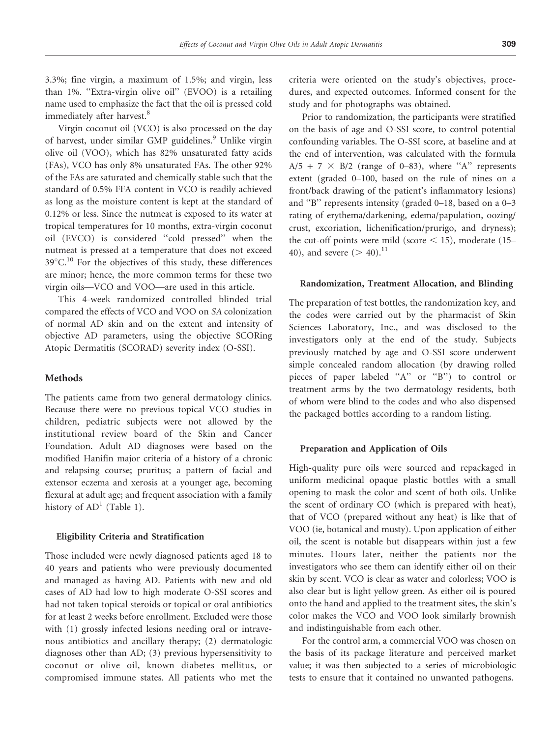3.3%; fine virgin, a maximum of 1.5%; and virgin, less than 1%. "Extra-virgin olive oil" (EVOO) is a retailing name used to emphasize the fact that the oil is pressed cold immediately after harvest.<sup>8</sup>

Virgin coconut oil (VCO) is also processed on the day of harvest, under similar GMP guidelines.<sup>9</sup> Unlike virgin olive oil (VOO), which has 82% unsaturated fatty acids (FAs), VCO has only 8% unsaturated FAs. The other 92% of the FAs are saturated and chemically stable such that the standard of 0.5% FFA content in VCO is readily achieved as long as the moisture content is kept at the standard of 0.12% or less. Since the nutmeat is exposed to its water at tropical temperatures for 10 months, extra-virgin coconut oil (EVCO) is considered ''cold pressed'' when the nutmeat is pressed at a temperature that does not exceed  $39^{\circ}$ C.<sup>10</sup> For the objectives of this study, these differences are minor; hence, the more common terms for these two virgin oils—VCO and VOO—are used in this article.

This 4-week randomized controlled blinded trial compared the effects of VCO and VOO on SA colonization of normal AD skin and on the extent and intensity of objective AD parameters, using the objective SCORing Atopic Dermatitis (SCORAD) severity index (O-SSI).

## Methods

The patients came from two general dermatology clinics. Because there were no previous topical VCO studies in children, pediatric subjects were not allowed by the institutional review board of the Skin and Cancer Foundation. Adult AD diagnoses were based on the modified Hanifin major criteria of a history of a chronic and relapsing course; pruritus; a pattern of facial and extensor eczema and xerosis at a younger age, becoming flexural at adult age; and frequent association with a family history of  $AD<sup>1</sup>$  (Table 1).

#### Eligibility Criteria and Stratification

Those included were newly diagnosed patients aged 18 to 40 years and patients who were previously documented and managed as having AD. Patients with new and old cases of AD had low to high moderate O-SSI scores and had not taken topical steroids or topical or oral antibiotics for at least 2 weeks before enrollment. Excluded were those with (1) grossly infected lesions needing oral or intravenous antibiotics and ancillary therapy; (2) dermatologic diagnoses other than AD; (3) previous hypersensitivity to coconut or olive oil, known diabetes mellitus, or compromised immune states. All patients who met the criteria were oriented on the study's objectives, procedures, and expected outcomes. Informed consent for the study and for photographs was obtained.

Prior to randomization, the participants were stratified on the basis of age and O-SSI score, to control potential confounding variables. The O-SSI score, at baseline and at the end of intervention, was calculated with the formula  $A/5 + 7 \times B/2$  (range of 0–83), where "A" represents extent (graded 0–100, based on the rule of nines on a front/back drawing of the patient's inflammatory lesions) and ''B'' represents intensity (graded 0–18, based on a 0–3 rating of erythema/darkening, edema/papulation, oozing/ crust, excoriation, lichenification/prurigo, and dryness); the cut-off points were mild (score  $<$  15), moderate (15– 40), and severe  $(> 40).$ <sup>11</sup>

#### Randomization, Treatment Allocation, and Blinding

The preparation of test bottles, the randomization key, and the codes were carried out by the pharmacist of Skin Sciences Laboratory, Inc., and was disclosed to the investigators only at the end of the study. Subjects previously matched by age and O-SSI score underwent simple concealed random allocation (by drawing rolled pieces of paper labeled ''A'' or ''B'') to control or treatment arms by the two dermatology residents, both of whom were blind to the codes and who also dispensed the packaged bottles according to a random listing.

#### Preparation and Application of Oils

High-quality pure oils were sourced and repackaged in uniform medicinal opaque plastic bottles with a small opening to mask the color and scent of both oils. Unlike the scent of ordinary CO (which is prepared with heat), that of VCO (prepared without any heat) is like that of VOO (ie, botanical and musty). Upon application of either oil, the scent is notable but disappears within just a few minutes. Hours later, neither the patients nor the investigators who see them can identify either oil on their skin by scent. VCO is clear as water and colorless; VOO is also clear but is light yellow green. As either oil is poured onto the hand and applied to the treatment sites, the skin's color makes the VCO and VOO look similarly brownish and indistinguishable from each other.

For the control arm, a commercial VOO was chosen on the basis of its package literature and perceived market value; it was then subjected to a series of microbiologic tests to ensure that it contained no unwanted pathogens.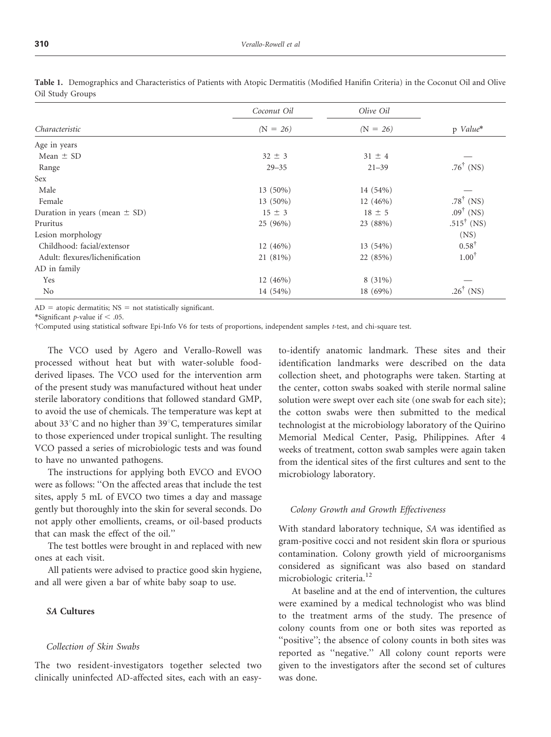|                                   | Coconut Oil | Olive Oil  |                                           |
|-----------------------------------|-------------|------------|-------------------------------------------|
| Characteristic                    | $(N = 26)$  | $(N = 26)$ | p Value*                                  |
| Age in years                      |             |            |                                           |
| Mean $\pm$ SD                     | $32 \pm 3$  | $31 \pm 4$ |                                           |
| Range                             | $29 - 35$   | $21 - 39$  | $.76^{\dagger}$ (NS)                      |
| <b>Sex</b>                        |             |            |                                           |
| Male                              | 13 (50%)    | 14 (54%)   |                                           |
| Female                            | $13(50\%)$  | 12 (46%)   | .78 $^{\dagger}$ (NS)                     |
| Duration in years (mean $\pm$ SD) | $15 \pm 3$  | $18 \pm 5$ | $.09^{\dagger}$ (NS)                      |
| Pruritus                          | 25 (96%)    | 23 (88%)   | .515 <sup><math>\dagger</math></sup> (NS) |
| Lesion morphology                 |             |            | (NS)                                      |
| Childhood: facial/extensor        | 12(46%)     | 13 (54%)   | $0.58^{\dagger}$                          |
| Adult: flexures/lichenification   | 21 (81%)    | 22 (85%)   | $1.00^{\dagger}$                          |
| AD in family                      |             |            |                                           |
| Yes                               | $12(46\%)$  | $8(31\%)$  |                                           |
| N <sub>o</sub>                    | 14 (54%)    | 18 (69%)   | $.26^{\dagger}$ (NS)                      |

Table 1. Demographics and Characteristics of Patients with Atopic Dermatitis (Modified Hanifin Criteria) in the Coconut Oil and Olive Oil Study Groups

 $AD = atopic$  dermatitis;  $NS = not$  statistically significant.

\*Significant *p*-value if  $< .05$ .

{Computed using statistical software Epi-Info V6 for tests of proportions, independent samples t-test, and chi-square test.

The VCO used by Agero and Verallo-Rowell was processed without heat but with water-soluble foodderived lipases. The VCO used for the intervention arm of the present study was manufactured without heat under sterile laboratory conditions that followed standard GMP, to avoid the use of chemicals. The temperature was kept at about 33 $\mathrm{C}$  and no higher than 39 $\mathrm{C}$ , temperatures similar to those experienced under tropical sunlight. The resulting VCO passed a series of microbiologic tests and was found to have no unwanted pathogens.

The instructions for applying both EVCO and EVOO were as follows: ''On the affected areas that include the test sites, apply 5 mL of EVCO two times a day and massage gently but thoroughly into the skin for several seconds. Do not apply other emollients, creams, or oil-based products that can mask the effect of the oil.''

The test bottles were brought in and replaced with new ones at each visit.

All patients were advised to practice good skin hygiene, and all were given a bar of white baby soap to use.

#### SA Cultures

# Collection of Skin Swabs

The two resident-investigators together selected two clinically uninfected AD-affected sites, each with an easyto-identify anatomic landmark. These sites and their identification landmarks were described on the data collection sheet, and photographs were taken. Starting at the center, cotton swabs soaked with sterile normal saline solution were swept over each site (one swab for each site); the cotton swabs were then submitted to the medical technologist at the microbiology laboratory of the Quirino Memorial Medical Center, Pasig, Philippines. After 4 weeks of treatment, cotton swab samples were again taken from the identical sites of the first cultures and sent to the microbiology laboratory.

#### Colony Growth and Growth Effectiveness

With standard laboratory technique, SA was identified as gram-positive cocci and not resident skin flora or spurious contamination. Colony growth yield of microorganisms considered as significant was also based on standard microbiologic criteria.<sup>12</sup>

At baseline and at the end of intervention, the cultures were examined by a medical technologist who was blind to the treatment arms of the study. The presence of colony counts from one or both sites was reported as "positive"; the absence of colony counts in both sites was reported as ''negative.'' All colony count reports were given to the investigators after the second set of cultures was done.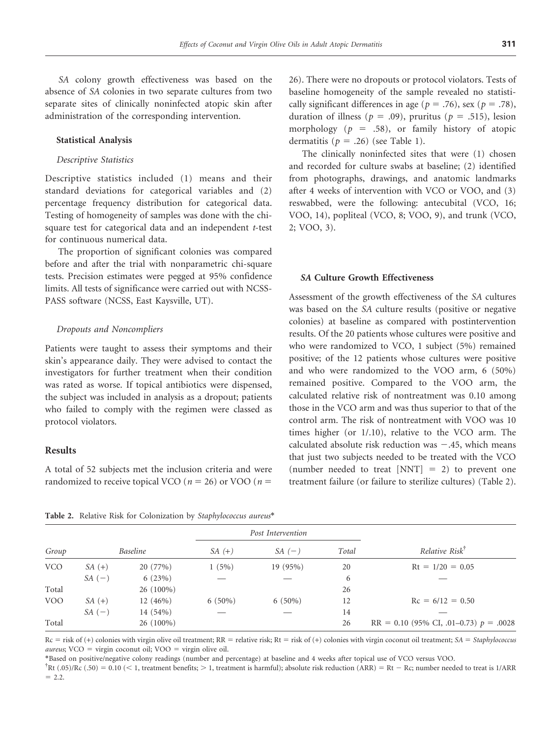SA colony growth effectiveness was based on the absence of SA colonies in two separate cultures from two separate sites of clinically noninfected atopic skin after administration of the corresponding intervention.

#### Statistical Analysis

## Descriptive Statistics

Descriptive statistics included (1) means and their standard deviations for categorical variables and (2) percentage frequency distribution for categorical data. Testing of homogeneity of samples was done with the chisquare test for categorical data and an independent *t*-test for continuous numerical data.

The proportion of significant colonies was compared before and after the trial with nonparametric chi-square tests. Precision estimates were pegged at 95% confidence limits. All tests of significance were carried out with NCSS-PASS software (NCSS, East Kaysville, UT).

#### Dropouts and Noncompliers

Patients were taught to assess their symptoms and their skin's appearance daily. They were advised to contact the investigators for further treatment when their condition was rated as worse. If topical antibiotics were dispensed, the subject was included in analysis as a dropout; patients who failed to comply with the regimen were classed as protocol violators.

# Results

A total of 52 subjects met the inclusion criteria and were randomized to receive topical VCO ( $n = 26$ ) or VOO ( $n =$ 

26). There were no dropouts or protocol violators. Tests of baseline homogeneity of the sample revealed no statistically significant differences in age ( $p = .76$ ), sex ( $p = .78$ ), duration of illness ( $p = .09$ ), pruritus ( $p = .515$ ), lesion morphology ( $p = .58$ ), or family history of atopic dermatitis ( $p = .26$ ) (see Table 1).

The clinically noninfected sites that were (1) chosen and recorded for culture swabs at baseline; (2) identified from photographs, drawings, and anatomic landmarks after 4 weeks of intervention with VCO or VOO, and (3) reswabbed, were the following: antecubital (VCO, 16; VOO, 14), popliteal (VCO, 8; VOO, 9), and trunk (VCO, 2; VOO, 3).

## SA Culture Growth Effectiveness

Assessment of the growth effectiveness of the SA cultures was based on the SA culture results (positive or negative colonies) at baseline as compared with postintervention results. Of the 20 patients whose cultures were positive and who were randomized to VCO, 1 subject (5%) remained positive; of the 12 patients whose cultures were positive and who were randomized to the VOO arm, 6 (50%) remained positive. Compared to the VOO arm, the calculated relative risk of nontreatment was 0.10 among those in the VCO arm and was thus superior to that of the control arm. The risk of nontreatment with VOO was 10 times higher (or 1/.10), relative to the VCO arm. The calculated absolute risk reduction was  $-.45$ , which means that just two subjects needed to be treated with the VCO (number needed to treat  $[NNT] = 2$ ) to prevent one treatment failure (or failure to sterilize cultures) (Table 2).

|            |                 |             | Post Intervention |                   |       |                            |
|------------|-----------------|-------------|-------------------|-------------------|-------|----------------------------|
| Group      | <i>Baseline</i> |             | $SA(+)$           | $SA(-)$           | Total | Relative Risk <sup>†</sup> |
| <b>VCO</b> | $SA(+)$         | 20 (77%)    | 1(5%)             | 19 (95%)          | 20    | $Rt = 1/20 = 0.05$         |
|            | $SA(-)$         | 6(23%)      | $-$               | $\hspace{0.05cm}$ | 6     |                            |
| Total      |                 | $26(100\%)$ |                   |                   | 26    |                            |

VOO SA (+)  $12 (46\%)$  6 (50%) 6 (50%) 12 Rc = 6/12 = 0.50  $SA(-)$  14 (54%) — — 14 — 14 — 200 Total 26 (100%) 26 26 26 26 RR = 0.10 (95% CI, .01–0.73)  $p = .0028$ 

Table 2. Relative Risk for Colonization by Staphylococcus aureus\*

 $Rc =$  risk of (+) colonies with virgin olive oil treatment;  $RR =$  relative risk; Rt = risk of (+) colonies with virgin coconut oil treatment; SA = Staphylococcus  $aureus$ ; VCO = virgin coconut oil; VOO = virgin olive oil.

\*Based on positive/negative colony readings (number and percentage) at baseline and 4 weeks after topical use of VCO versus VOO.

 ${}^{\dagger}$ Rt (.05)/Rc (.50) = 0.10 (< 1, treatment benefits; > 1, treatment is harmful); absolute risk reduction (ARR) = Rt - Rc; number needed to treat is 1/ARR  $= 2.2.$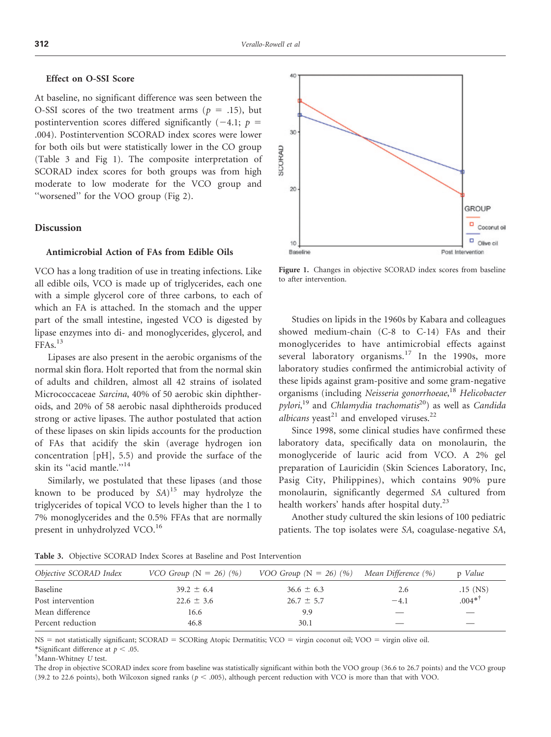## Effect on O-SSI Score

At baseline, no significant difference was seen between the O-SSI scores of the two treatment arms ( $p = .15$ ), but postintervention scores differed significantly  $(-4.1; p =$ .004). Postintervention SCORAD index scores were lower for both oils but were statistically lower in the CO group (Table 3 and Fig 1). The composite interpretation of SCORAD index scores for both groups was from high moderate to low moderate for the VCO group and ''worsened'' for the VOO group (Fig 2).

## Discussion

# Antimicrobial Action of FAs from Edible Oils

VCO has a long tradition of use in treating infections. Like all edible oils, VCO is made up of triglycerides, each one with a simple glycerol core of three carbons, to each of which an FA is attached. In the stomach and the upper part of the small intestine, ingested VCO is digested by lipase enzymes into di- and monoglycerides, glycerol, and  $FFAs.<sup>13</sup>$ 

Lipases are also present in the aerobic organisms of the normal skin flora. Holt reported that from the normal skin of adults and children, almost all 42 strains of isolated Micrococcaceae Sarcina, 40% of 50 aerobic skin diphtheroids, and 20% of 58 aerobic nasal diphtheroids produced strong or active lipases. The author postulated that action of these lipases on skin lipids accounts for the production of FAs that acidify the skin (average hydrogen ion concentration [pH], 5.5) and provide the surface of the skin its "acid mantle."<sup>14</sup>

Similarly, we postulated that these lipases (and those known to be produced by  $SA)^{15}$  may hydrolyze the triglycerides of topical VCO to levels higher than the 1 to 7% monoglycerides and the 0.5% FFAs that are normally present in unhydrolyzed VCO.<sup>16</sup>



Figure 1. Changes in objective SCORAD index scores from baseline to after intervention.

Studies on lipids in the 1960s by Kabara and colleagues showed medium-chain (C-8 to C-14) FAs and their monoglycerides to have antimicrobial effects against several laboratory organisms.<sup>17</sup> In the 1990s, more laboratory studies confirmed the antimicrobial activity of these lipids against gram-positive and some gram-negative organisms (including *Neisseria gonorrhoeae, <sup>18</sup> Helicobacter* pylori,<sup>19</sup> and Chlamydia trachomatis<sup>20</sup>) as well as Candida albicans yeast<sup>21</sup> and enveloped viruses.<sup>22</sup>

Since 1998, some clinical studies have confirmed these laboratory data, specifically data on monolaurin, the monoglyceride of lauric acid from VCO. A 2% gel preparation of Lauricidin (Skin Sciences Laboratory, Inc, Pasig City, Philippines), which contains 90% pure monolaurin, significantly degermed SA cultured from health workers' hands after hospital duty.<sup>23</sup>

Another study cultured the skin lesions of 100 pediatric patients. The top isolates were SA, coagulase-negative SA,

Table 3. Objective SCORAD Index Scores at Baseline and Post Intervention

| Objective SCORAD Index | <i>VCO Group</i> $(N = 26)$ $(\%)$ | VOO Group $(N = 26)$ (%) Mean Difference (%) |        | p <i>Value</i> |
|------------------------|------------------------------------|----------------------------------------------|--------|----------------|
| Baseline               | $39.2 \pm 6.4$                     | $36.6 \pm 6.3$                               | 2.6    | $.15$ (NS)     |
| Post intervention      | $22.6 \pm 3.6$                     | $26.7 \pm 5.7$                               | $-4.1$ | $.004**$       |
| Mean difference        | 16.6                               | 9.9                                          |        |                |
| Percent reduction      | 46.8                               | 30.1                                         |        | —              |

NS = not statistically significant; SCORAD = SCORing Atopic Dermatitis; VCO = virgin coconut oil; VOO = virgin olive oil.

\*Significant difference at  $p < .05$ .

<sup>†</sup>Mann-Whitney U test.

The drop in objective SCORAD index score from baseline was statistically significant within both the VOO group (36.6 to 26.7 points) and the VCO group (39.2 to 22.6 points), both Wilcoxon signed ranks ( $p < .005$ ), although percent reduction with VCO is more than that with VOO.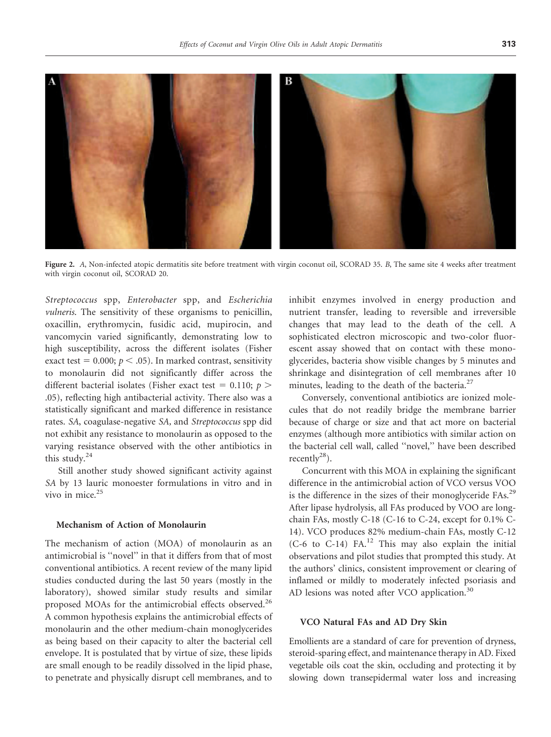

Figure 2. A, Non-infected atopic dermatitis site before treatment with virgin coconut oil, SCORAD 35. B, The same site 4 weeks after treatment with virgin coconut oil, SCORAD 20.

Streptococcus spp, Enterobacter spp, and Escherichia vulneris. The sensitivity of these organisms to penicillin, oxacillin, erythromycin, fusidic acid, mupirocin, and vancomycin varied significantly, demonstrating low to high susceptibility, across the different isolates (Fisher exact test =  $0.000$ ;  $p < .05$ ). In marked contrast, sensitivity to monolaurin did not significantly differ across the different bacterial isolates (Fisher exact test = 0.110;  $p >$ .05), reflecting high antibacterial activity. There also was a statistically significant and marked difference in resistance rates. SA, coagulase-negative SA, and Streptococcus spp did not exhibit any resistance to monolaurin as opposed to the varying resistance observed with the other antibiotics in this study. $24$ 

Still another study showed significant activity against SA by 13 lauric monoester formulations in vitro and in vivo in mice.<sup>25</sup>

## Mechanism of Action of Monolaurin

The mechanism of action (MOA) of monolaurin as an antimicrobial is ''novel'' in that it differs from that of most conventional antibiotics. A recent review of the many lipid studies conducted during the last 50 years (mostly in the laboratory), showed similar study results and similar proposed MOAs for the antimicrobial effects observed.<sup>26</sup> A common hypothesis explains the antimicrobial effects of monolaurin and the other medium-chain monoglycerides as being based on their capacity to alter the bacterial cell envelope. It is postulated that by virtue of size, these lipids are small enough to be readily dissolved in the lipid phase, to penetrate and physically disrupt cell membranes, and to

inhibit enzymes involved in energy production and nutrient transfer, leading to reversible and irreversible changes that may lead to the death of the cell. A sophisticated electron microscopic and two-color fluorescent assay showed that on contact with these monoglycerides, bacteria show visible changes by 5 minutes and shrinkage and disintegration of cell membranes after 10 minutes, leading to the death of the bacteria. $27$ 

Conversely, conventional antibiotics are ionized molecules that do not readily bridge the membrane barrier because of charge or size and that act more on bacterial enzymes (although more antibiotics with similar action on the bacterial cell wall, called ''novel,'' have been described recently $28$ ).

Concurrent with this MOA in explaining the significant difference in the antimicrobial action of VCO versus VOO is the difference in the sizes of their monoglyceride FAs.<sup>29</sup> After lipase hydrolysis, all FAs produced by VOO are longchain FAs, mostly C-18 (C-16 to C-24, except for 0.1% C-14). VCO produces 82% medium-chain FAs, mostly C-12  $(C-6$  to  $C-14$ ) FA.<sup>12</sup> This may also explain the initial observations and pilot studies that prompted this study. At the authors' clinics, consistent improvement or clearing of inflamed or mildly to moderately infected psoriasis and AD lesions was noted after VCO application.<sup>30</sup>

## VCO Natural FAs and AD Dry Skin

Emollients are a standard of care for prevention of dryness, steroid-sparing effect, and maintenance therapy in AD. Fixed vegetable oils coat the skin, occluding and protecting it by slowing down transepidermal water loss and increasing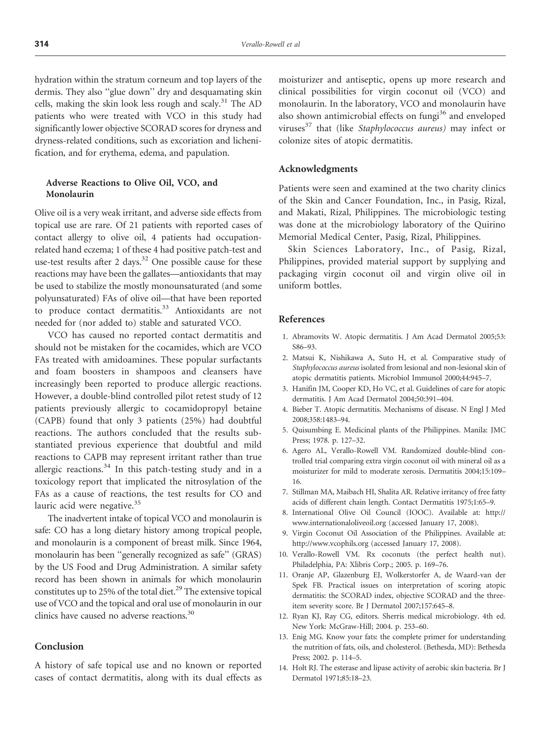hydration within the stratum corneum and top layers of the dermis. They also ''glue down'' dry and desquamating skin cells, making the skin look less rough and scaly.<sup>31</sup> The AD patients who were treated with VCO in this study had significantly lower objective SCORAD scores for dryness and dryness-related conditions, such as excoriation and lichenification, and for erythema, edema, and papulation.

# Adverse Reactions to Olive Oil, VCO, and Monolaurin

Olive oil is a very weak irritant, and adverse side effects from topical use are rare. Of 21 patients with reported cases of contact allergy to olive oil, 4 patients had occupationrelated hand eczema; 1 of these 4 had positive patch-test and use-test results after 2 days. $32$  One possible cause for these reactions may have been the gallates—antioxidants that may be used to stabilize the mostly monounsaturated (and some polyunsaturated) FAs of olive oil—that have been reported to produce contact dermatitis.<sup>33</sup> Antioxidants are not needed for (nor added to) stable and saturated VCO.

VCO has caused no reported contact dermatitis and should not be mistaken for the cocamides, which are VCO FAs treated with amidoamines. These popular surfactants and foam boosters in shampoos and cleansers have increasingly been reported to produce allergic reactions. However, a double-blind controlled pilot retest study of 12 patients previously allergic to cocamidopropyl betaine (CAPB) found that only 3 patients (25%) had doubtful reactions. The authors concluded that the results substantiated previous experience that doubtful and mild reactions to CAPB may represent irritant rather than true allergic reactions.<sup>34</sup> In this patch-testing study and in a toxicology report that implicated the nitrosylation of the FAs as a cause of reactions, the test results for CO and lauric acid were negative.<sup>35</sup>

The inadvertent intake of topical VCO and monolaurin is safe: CO has a long dietary history among tropical people, and monolaurin is a component of breast milk. Since 1964, monolaurin has been ''generally recognized as safe'' (GRAS) by the US Food and Drug Administration. A similar safety record has been shown in animals for which monolaurin constitutes up to 25% of the total diet.<sup>29</sup> The extensive topical use of VCO and the topical and oral use of monolaurin in our clinics have caused no adverse reactions.<sup>30</sup>

# Conclusion

A history of safe topical use and no known or reported cases of contact dermatitis, along with its dual effects as moisturizer and antiseptic, opens up more research and clinical possibilities for virgin coconut oil (VCO) and monolaurin. In the laboratory, VCO and monolaurin have also shown antimicrobial effects on fungi<sup>36</sup> and enveloped viruses $37$  that (like Staphylococcus aureus) may infect or colonize sites of atopic dermatitis.

## Acknowledgments

Patients were seen and examined at the two charity clinics of the Skin and Cancer Foundation, Inc., in Pasig, Rizal, and Makati, Rizal, Philippines. The microbiologic testing was done at the microbiology laboratory of the Quirino Memorial Medical Center, Pasig, Rizal, Philippines.

Skin Sciences Laboratory, Inc., of Pasig, Rizal, Philippines, provided material support by supplying and packaging virgin coconut oil and virgin olive oil in uniform bottles.

#### References

- 1. Abramovits W. Atopic dermatitis. J Am Acad Dermatol 2005;53: S86–93.
- 2. Matsui K, Nishikawa A, Suto H, et al. Comparative study of Staphylococcus aureus isolated from lesional and non-lesional skin of atopic dermatitis patients. Microbiol Immunol 2000;44:945–7.
- 3. Hanifin JM, Cooper KD, Ho VC, et al. Guidelines of care for atopic dermatitis. J Am Acad Dermatol 2004;50:391–404.
- 4. Bieber T. Atopic dermatitis. Mechanisms of disease. N Engl J Med 2008;358:1483–94.
- 5. Quisumbing E. Medicinal plants of the Philippines. Manila: JMC Press; 1978. p. 127–32.
- 6. Agero AL, Verallo-Rowell VM. Randomized double-blind controlled trial comparing extra virgin coconut oil with mineral oil as a moisturizer for mild to moderate xerosis. Dermatitis 2004;15:109– 16.
- 7. Stillman MA, Maibach HI, Shalita AR. Relative irritancy of free fatty acids of different chain length. Contact Dermatitis 1975;1:65–9.
- 8. International Olive Oil Council (IOOC). Available at: http:// www.internationaloliveoil.org (accessed January 17, 2008).
- 9. Virgin Coconut Oil Association of the Philippines. Available at: http://www.vcophils.org (accessed January 17, 2008).
- 10. Verallo-Rowell VM. Rx coconuts (the perfect health nut). Philadelphia, PA: Xlibris Corp.; 2005. p. 169–76.
- 11. Oranje AP, Glazenburg EJ, Wolkerstorfer A, de Waard-van der Spek FB. Practical issues on interpretation of scoring atopic dermatitis: the SCORAD index, objective SCORAD and the threeitem severity score. Br J Dermatol 2007;157:645–8.
- 12. Ryan KJ, Ray CG, editors. Sherris medical microbiology. 4th ed. New York: McGraw-Hill; 2004. p. 253–60.
- 13. Enig MG. Know your fats: the complete primer for understanding the nutrition of fats, oils, and cholesterol. (Bethesda, MD): Bethesda Press; 2002. p. 114–5.
- 14. Holt RJ. The esterase and lipase activity of aerobic skin bacteria. Br J Dermatol 1971;85:18–23.